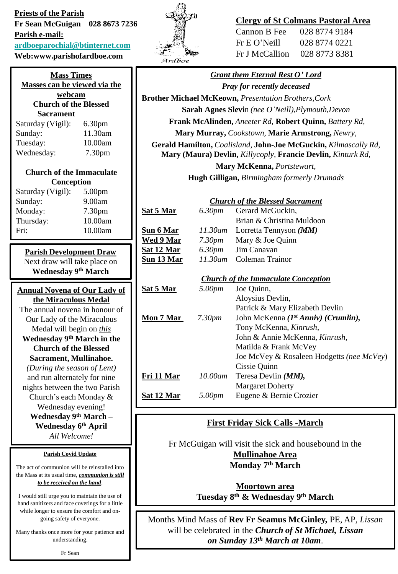**Priests of the Parish Fr Sean McGuigan 028 8673 7236 Parish e-mail: [ardboeparochial@btinternet.com](mailto:ardboeparochial@btinternet.com) Web:www.parishofardboe.com**

| <b>Mass Times</b>            |                    |  |  |
|------------------------------|--------------------|--|--|
| Masses can be viewed via the |                    |  |  |
| webcam                       |                    |  |  |
| <b>Church of the Blessed</b> |                    |  |  |
| Sacrament                    |                    |  |  |
| Saturday (Vigil):            | 6.30 <sub>pm</sub> |  |  |
| Sunday:                      | 11.30am            |  |  |
| Tuesday:                     | 10.00am            |  |  |
| Wednesday:                   | 7.30 <sub>pm</sub> |  |  |
| Church of the Immaculate     |                    |  |  |
| Conception                   |                    |  |  |
| Saturday (Vigil):            | 5.00 <sub>pm</sub> |  |  |
| Sunday:                      | 9.00am             |  |  |
| Monday:                      | 7.30 <sub>pm</sub> |  |  |
| Thursday:                    | 10.00am            |  |  |
| Fri∙                         | 10.00am            |  |  |
|                              |                    |  |  |

**Parish Development Draw** Next draw will take place on **Wednesday 9 th March** 

| <b>Annual Novena of Our Lady of</b> |  |  |
|-------------------------------------|--|--|
| the Miraculous Medal                |  |  |
| The annual novena in honour of      |  |  |
| Our Lady of the Miraculous          |  |  |
| Medal will begin on <i>this</i>     |  |  |
| Wednesday 9th March in the          |  |  |
| <b>Church of the Blessed</b>        |  |  |
| Sacrament, Mullinahoe.              |  |  |
| (During the season of Lent)         |  |  |
| and run alternately for nine        |  |  |
| nights between the two Parish       |  |  |
| Church's each Monday &              |  |  |
| Wednesday evening!                  |  |  |
| Wednesday 9th March -               |  |  |
| Wednesday 6th April                 |  |  |
| All Welcome!                        |  |  |

#### **Parish Covid Update**

The act of communion will be reinstalled into the Mass at its usual time, *communion is still to be received on the hand*.

I would still urge you to maintain the use of hand sanitizers and face coverings for a little while longer to ensure the comfort and ongoing safety of everyone.

Many thanks once more for your patience and understanding.



**Sat 5 Mar** 

**Sun 6 Mar** *11.30am* Lorretta Tennyson *(MM)*  **Wed 9 Mary Sat 12 Mar Sun 13 Mar** 

# **Clergy of St Colmans Pastoral Area**

| Cannon B Fee   | 028 8774 9184 |
|----------------|---------------|
| Fr E O' Neill  | 028 8774 0221 |
| Fr J McCallion | 028 8773 8381 |

*Grant them Eternal Rest O' Lord Pray for recently deceased* **Brother Michael McKeown,** *Presentation Brothers,Cork* **Sarah Agnes Slevi**n *(nee O'Neill),Plymouth,Devon* **Frank McAlinden,** *Aneeter Rd,* **Robert Quinn,** *Battery Rd,*  **Mary Murray,** *Cookstown,* **Marie Armstrong,** *Newry,* **Gerald Hamilton,** *Coalisland,* **John-Joe McGuckin,** *Kilmascally Rd,* 

**Mary (Maura) Devlin,** *Killycoply,* **Francie Devlin,** *Kinturk Rd,* 

**Mary McKenna,** *Portstewart,*  **Hugh Gilligan,** *Birmingham formerly Drumads*

## *Church of the Blessed Sacrament*

| 6.30pm     | Gerard McGuckin,          |
|------------|---------------------------|
|            | Brian & Christina Muldoon |
| 11.30am    | Lorretta Tennyson $(MM)$  |
| 7.30pm     | Mary & Joe Quinn          |
|            | 6.30pm Jim Canavan        |
| $11.30$ am | Coleman Trainor           |
|            |                           |

## *Church of the Immaculate Conception*

| <u>Sat 5 Mar</u> | 5.00pm             | Joe Quinn,                                |
|------------------|--------------------|-------------------------------------------|
|                  |                    | Aloysius Devlin,                          |
|                  |                    | Patrick & Mary Elizabeth Devlin           |
| Mon 7 Mar        | 7.30 <sub>pm</sub> | John McKenna (1st Anniv) (Crumlin),       |
|                  |                    | Tony McKenna, Kinrush,                    |
|                  |                    | John & Annie McKenna, Kinrush,            |
|                  |                    | Matilda & Frank McVey                     |
|                  |                    | Joe McVey & Rosaleen Hodgetts (nee McVey) |
|                  |                    | Cissie Quinn                              |
| Fri 11 Mar       | 10.00am            | Teresa Devlin $(MM)$ ,                    |
|                  |                    | <b>Margaret Doherty</b>                   |
| Sat 12 Mar       | 5.00pm             | Eugene & Bernie Crozier                   |
|                  |                    |                                           |

# **First Friday Sick Calls -March**

Fr McGuigan will visit the sick and housebound in the **Mullinahoe Area Monday 7 th March**

> **Moortown area Tuesday 8 th & Wednesday 9 th March**

Months Mind Mass of **Rev Fr Seamus McGinley,** PE, AP*, Lissan* will be celebrated in the *Church of St Michael, Lissan on Sunday 13th March at 10am*.